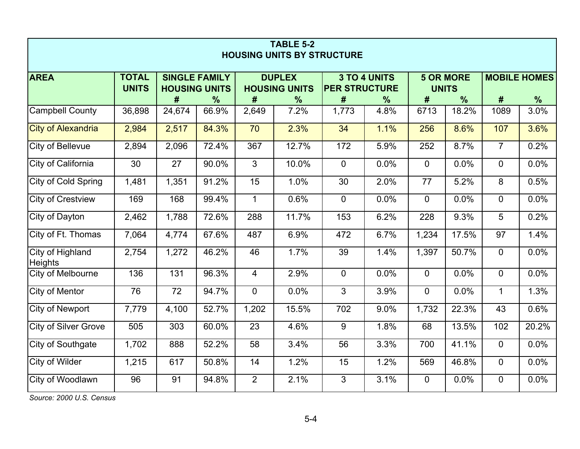| <b>TABLE 5-2</b><br><b>HOUSING UNITS BY STRUCTURE</b> |                              |                                                        |       |                                                 |       |                                                                   |      |                                                        |       |                                           |         |
|-------------------------------------------------------|------------------------------|--------------------------------------------------------|-------|-------------------------------------------------|-------|-------------------------------------------------------------------|------|--------------------------------------------------------|-------|-------------------------------------------|---------|
| <b>AREA</b>                                           | <b>TOTAL</b><br><b>UNITS</b> | <b>SINGLE FAMILY</b><br><b>HOUSING UNITS</b><br>%<br># |       | <b>DUPLEX</b><br><b>HOUSING UNITS</b><br>%<br># |       | <b>3 TO 4 UNITS</b><br><b>PER STRUCTURE</b><br>$\frac{9}{6}$<br># |      | <b>5 OR MORE</b><br><b>UNITS</b><br>$\frac{0}{0}$<br># |       | <b>MOBILE HOMES</b><br>$\frac{9}{6}$<br># |         |
| <b>Campbell County</b>                                | 36,898                       | 24,674                                                 | 66.9% | 2,649                                           | 7.2%  | 1,773                                                             | 4.8% | 6713                                                   | 18.2% | 1089                                      | 3.0%    |
| <b>City of Alexandria</b>                             | 2,984                        | 2,517                                                  | 84.3% | 70                                              | 2.3%  | 34                                                                | 1.1% | 256                                                    | 8.6%  | 107                                       | 3.6%    |
| City of Bellevue                                      | 2,894                        | 2,096                                                  | 72.4% | 367                                             | 12.7% | 172                                                               | 5.9% | 252                                                    | 8.7%  | $\overline{7}$                            | 0.2%    |
| <b>City of California</b>                             | 30                           | $\overline{27}$                                        | 90.0% | 3                                               | 10.0% | $\overline{0}$                                                    | 0.0% | $\mathbf 0$                                            | 0.0%  | $\overline{0}$                            | 0.0%    |
| City of Cold Spring                                   | 1,481                        | 1,351                                                  | 91.2% | 15                                              | 1.0%  | 30                                                                | 2.0% | 77                                                     | 5.2%  | 8                                         | 0.5%    |
| <b>City of Crestview</b>                              | 169                          | 168                                                    | 99.4% | $\mathbf 1$                                     | 0.6%  | $\mathbf 0$                                                       | 0.0% | $\mathbf 0$                                            | 0.0%  | $\mathbf 0$                               | 0.0%    |
| City of Dayton                                        | 2,462                        | 1,788                                                  | 72.6% | 288                                             | 11.7% | 153                                                               | 6.2% | 228                                                    | 9.3%  | 5                                         | 0.2%    |
| City of Ft. Thomas                                    | 7,064                        | 4,774                                                  | 67.6% | 487                                             | 6.9%  | 472                                                               | 6.7% | 1,234                                                  | 17.5% | 97                                        | 1.4%    |
| City of Highland<br><b>Heights</b>                    | 2,754                        | 1,272                                                  | 46.2% | 46                                              | 1.7%  | 39                                                                | 1.4% | 1,397                                                  | 50.7% | $\mathbf 0$                               | 0.0%    |
| City of Melbourne                                     | 136                          | 131                                                    | 96.3% | $\overline{4}$                                  | 2.9%  | $\overline{0}$                                                    | 0.0% | $\mathbf{0}$                                           | 0.0%  | $\mathbf{0}$                              | $0.0\%$ |
| <b>City of Mentor</b>                                 | 76                           | 72                                                     | 94.7% | $\overline{0}$                                  | 0.0%  | 3                                                                 | 3.9% | $\overline{0}$                                         | 0.0%  | $\mathbf{1}$                              | 1.3%    |
| City of Newport                                       | 7,779                        | 4,100                                                  | 52.7% | 1,202                                           | 15.5% | 702                                                               | 9.0% | 1,732                                                  | 22.3% | 43                                        | 0.6%    |
| <b>City of Silver Grove</b>                           | 505                          | 303                                                    | 60.0% | 23                                              | 4.6%  | $\overline{9}$                                                    | 1.8% | 68                                                     | 13.5% | 102                                       | 20.2%   |
| City of Southgate                                     | 1,702                        | 888                                                    | 52.2% | 58                                              | 3.4%  | 56                                                                | 3.3% | 700                                                    | 41.1% | $\mathbf{0}$                              | 0.0%    |
| City of Wilder                                        | 1,215                        | 617                                                    | 50.8% | 14                                              | 1.2%  | 15                                                                | 1.2% | 569                                                    | 46.8% | $\mathbf{0}$                              | 0.0%    |
| City of Woodlawn                                      | 96                           | 91                                                     | 94.8% | $\overline{2}$                                  | 2.1%  | 3                                                                 | 3.1% | $\mathbf 0$                                            | 0.0%  | $\mathbf 0$                               | 0.0%    |

*Source: 2000 U.S. Census*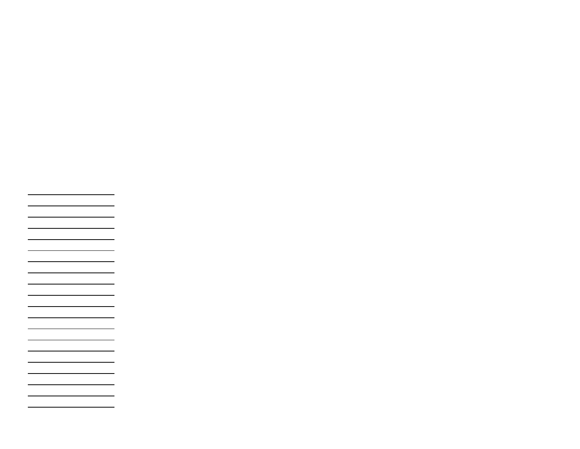÷.  $\overline{\phantom{0}}$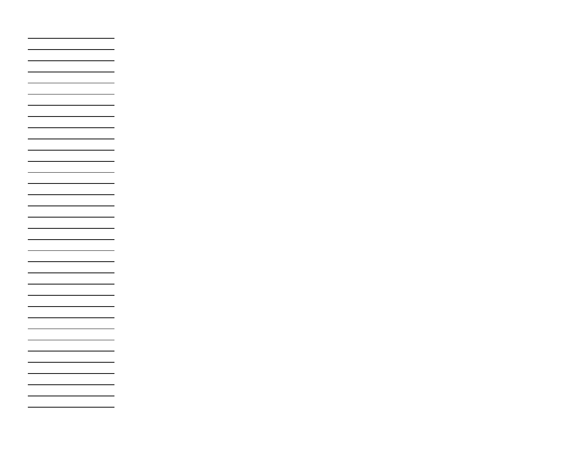$\overline{\phantom{0}}$ ÷,  $\overline{\phantom{0}}$ ۰.  $\overline{\phantom{0}}$  $\overline{\phantom{0}}$  $\overline{\phantom{0}}$  $\overline{\phantom{0}}$ ÷.  $\overline{\phantom{0}}$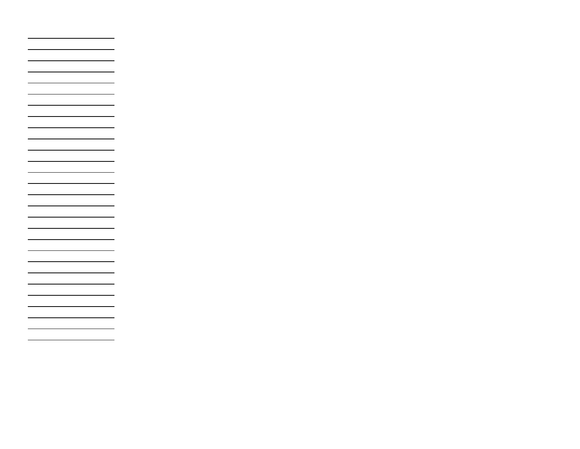÷.  $\overline{\phantom{0}}$  $\overline{\phantom{0}}$  $\blacksquare$ ÷.